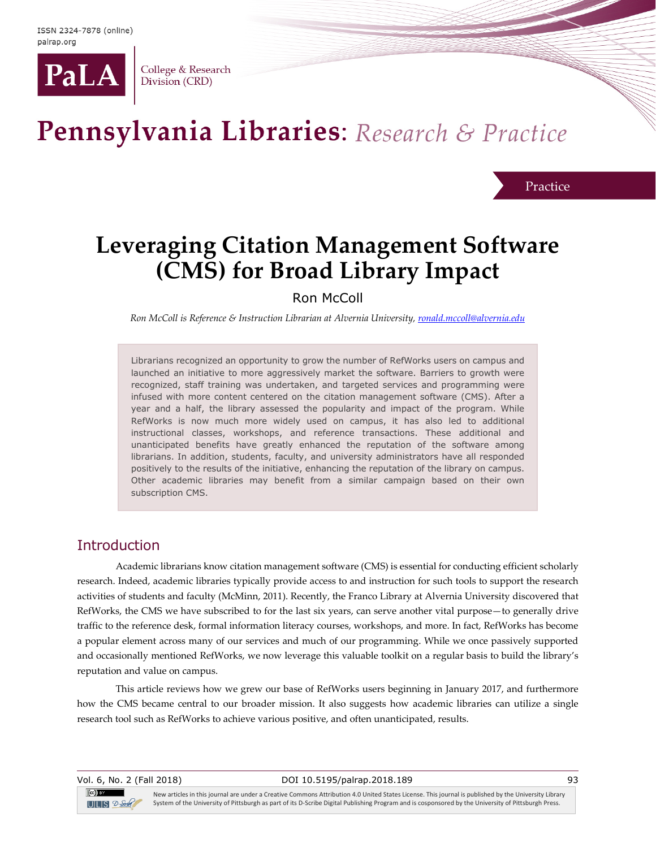

College & Research Division (CRD)

# Pennsylvania Libraries: Research & Practice

**Practice** 

## **Leveraging Citation Management Software (CMS) for Broad Library Impact**

Ron McColl

*Ron McColl is Reference & Instruction Librarian at Alvernia University[, ronald.mccoll@alvernia.edu](mailto:ronald.mccoll@alvernia.edu)*

Librarians recognized an opportunity to grow the number of RefWorks users on campus and launched an initiative to more aggressively market the software. Barriers to growth were recognized, staff training was undertaken, and targeted services and programming were infused with more content centered on the citation management software (CMS). After a year and a half, the library assessed the popularity and impact of the program. While RefWorks is now much more widely used on campus, it has also led to additional instructional classes, workshops, and reference transactions. These additional and unanticipated benefits have greatly enhanced the reputation of the software among librarians. In addition, students, faculty, and university administrators have all responded positively to the results of the initiative, enhancing the reputation of the library on campus. Other academic libraries may benefit from a similar campaign based on their own subscription CMS.

#### **Introduction**

Academic librarians know citation management software (CMS) is essential for conducting efficient scholarly research. Indeed, academic libraries typically provide access to and instruction for such tools to support the research activities of students and faculty (McMinn, 2011). Recently, the Franco Library at Alvernia University discovered that RefWorks, the CMS we have subscribed to for the last six years, can serve another vital purpose—to generally drive traffic to the reference desk, formal information literacy courses, workshops, and more. In fact, RefWorks has become a popular element across many of our services and much of our programming. While we once passively supported and occasionally mentioned RefWorks, we now leverage this valuable toolkit on a regular basis to build the library's reputation and value on campus.

This article reviews how we grew our base of RefWorks users beginning in January 2017, and furthermore how the CMS became central to our broader mission. It also suggests how academic libraries can utilize a single research tool such as RefWorks to achieve various positive, and often unanticipated, results.

Vol. 6, No. 2 (Fall 2018) DOI 10.5195/palrap.2018.189 93  $(cc)$  by New articles in this journal are under a Creative Commons Attribution 4.0 United States License. This journal is published by the University Library System of the University of Pittsburgh as part of its D-Scribe Digital Publishing Program and is cosponsored by the University of Pittsburgh Press.  $T = S$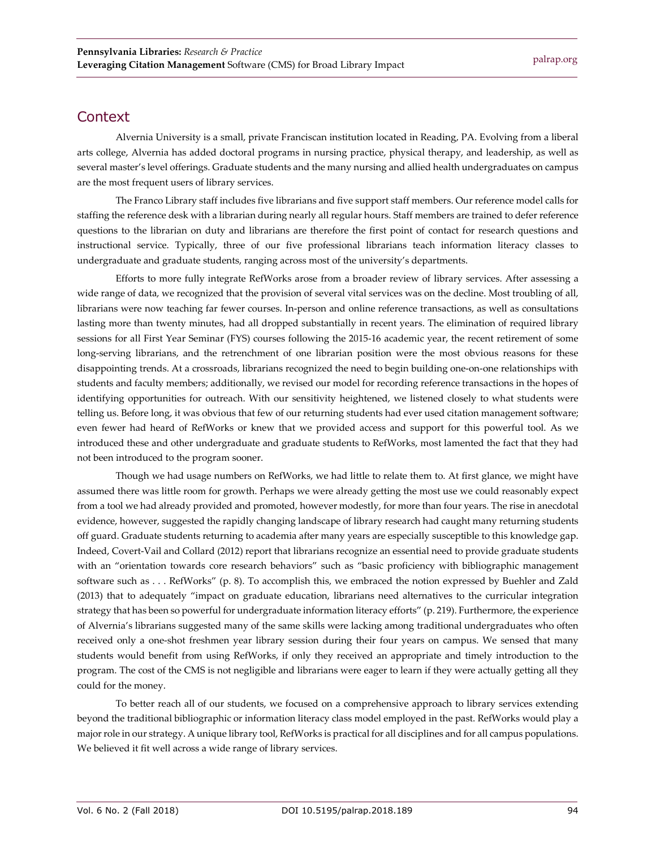#### **Context**

Alvernia University is a small, private Franciscan institution located in Reading, PA. Evolving from a liberal arts college, Alvernia has added doctoral programs in nursing practice, physical therapy, and leadership, as well as several master's level offerings. Graduate students and the many nursing and allied health undergraduates on campus are the most frequent users of library services.

The Franco Library staff includes five librarians and five support staff members. Our reference model calls for staffing the reference desk with a librarian during nearly all regular hours. Staff members are trained to defer reference questions to the librarian on duty and librarians are therefore the first point of contact for research questions and instructional service. Typically, three of our five professional librarians teach information literacy classes to undergraduate and graduate students, ranging across most of the university's departments.

Efforts to more fully integrate RefWorks arose from a broader review of library services. After assessing a wide range of data, we recognized that the provision of several vital services was on the decline. Most troubling of all, librarians were now teaching far fewer courses. In-person and online reference transactions, as well as consultations lasting more than twenty minutes, had all dropped substantially in recent years. The elimination of required library sessions for all First Year Seminar (FYS) courses following the 2015-16 academic year, the recent retirement of some long-serving librarians, and the retrenchment of one librarian position were the most obvious reasons for these disappointing trends. At a crossroads, librarians recognized the need to begin building one-on-one relationships with students and faculty members; additionally, we revised our model for recording reference transactions in the hopes of identifying opportunities for outreach. With our sensitivity heightened, we listened closely to what students were telling us. Before long, it was obvious that few of our returning students had ever used citation management software; even fewer had heard of RefWorks or knew that we provided access and support for this powerful tool. As we introduced these and other undergraduate and graduate students to RefWorks, most lamented the fact that they had not been introduced to the program sooner.

Though we had usage numbers on RefWorks, we had little to relate them to. At first glance, we might have assumed there was little room for growth. Perhaps we were already getting the most use we could reasonably expect from a tool we had already provided and promoted, however modestly, for more than four years. The rise in anecdotal evidence, however, suggested the rapidly changing landscape of library research had caught many returning students off guard. Graduate students returning to academia after many years are especially susceptible to this knowledge gap. Indeed, Covert-Vail and Collard (2012) report that librarians recognize an essential need to provide graduate students with an "orientation towards core research behaviors" such as "basic proficiency with bibliographic management software such as . . . RefWorks" (p. 8). To accomplish this, we embraced the notion expressed by Buehler and Zald (2013) that to adequately "impact on graduate education, librarians need alternatives to the curricular integration strategy that has been so powerful for undergraduate information literacy efforts" (p. 219). Furthermore, the experience of Alvernia's librarians suggested many of the same skills were lacking among traditional undergraduates who often received only a one-shot freshmen year library session during their four years on campus. We sensed that many students would benefit from using RefWorks, if only they received an appropriate and timely introduction to the program. The cost of the CMS is not negligible and librarians were eager to learn if they were actually getting all they could for the money.

To better reach all of our students, we focused on a comprehensive approach to library services extending beyond the traditional bibliographic or information literacy class model employed in the past. RefWorks would play a major role in our strategy. A unique library tool, RefWorks is practical for all disciplines and for all campus populations. We believed it fit well across a wide range of library services.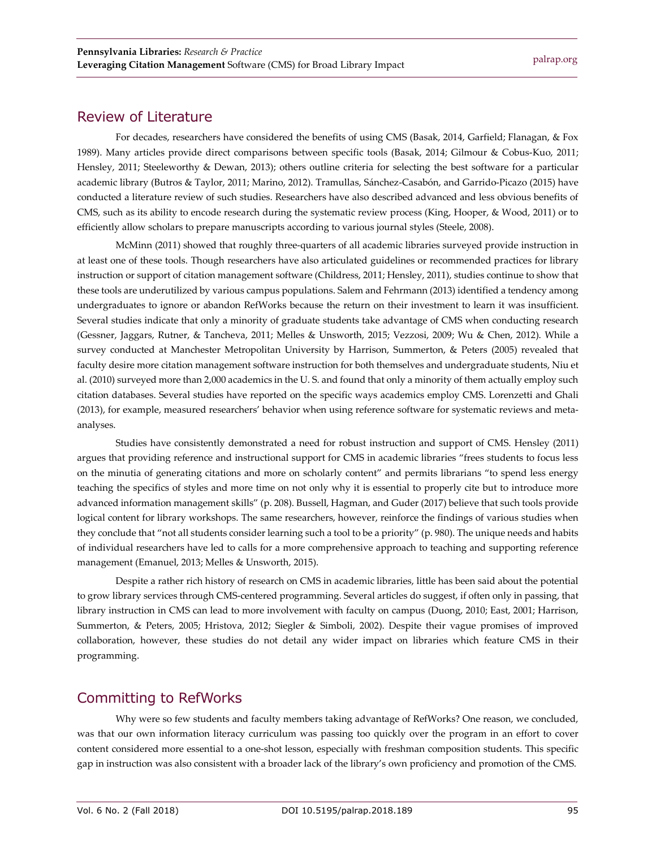#### Review of Literature

For decades, researchers have considered the benefits of using CMS (Basak, 2014, Garfield; Flanagan, & Fox 1989). Many articles provide direct comparisons between specific tools (Basak, 2014; Gilmour & Cobus-Kuo, 2011; Hensley, 2011; Steeleworthy & Dewan, 2013); others outline criteria for selecting the best software for a particular academic library (Butros & Taylor, 2011; Marino, 2012). Tramullas, Sánchez-Casabón, and Garrido-Picazo (2015) have conducted a literature review of such studies. Researchers have also described advanced and less obvious benefits of CMS, such as its ability to encode research during the systematic review process (King, Hooper, & Wood, 2011) or to efficiently allow scholars to prepare manuscripts according to various journal styles (Steele, 2008).

McMinn (2011) showed that roughly three-quarters of all academic libraries surveyed provide instruction in at least one of these tools. Though researchers have also articulated guidelines or recommended practices for library instruction or support of citation management software (Childress, 2011; Hensley, 2011), studies continue to show that these tools are underutilized by various campus populations. Salem and Fehrmann (2013) identified a tendency among undergraduates to ignore or abandon RefWorks because the return on their investment to learn it was insufficient. Several studies indicate that only a minority of graduate students take advantage of CMS when conducting research (Gessner, Jaggars, Rutner, & Tancheva, 2011; Melles & Unsworth, 2015; Vezzosi, 2009; Wu & Chen, 2012). While a survey conducted at Manchester Metropolitan University by Harrison, Summerton, & Peters (2005) revealed that faculty desire more citation management software instruction for both themselves and undergraduate students, Niu et al. (2010) surveyed more than 2,000 academics in the U. S. and found that only a minority of them actually employ such citation databases. Several studies have reported on the specific ways academics employ CMS. Lorenzetti and Ghali (2013), for example, measured researchers' behavior when using reference software for systematic reviews and metaanalyses.

Studies have consistently demonstrated a need for robust instruction and support of CMS. Hensley (2011) argues that providing reference and instructional support for CMS in academic libraries "frees students to focus less on the minutia of generating citations and more on scholarly content" and permits librarians "to spend less energy teaching the specifics of styles and more time on not only why it is essential to properly cite but to introduce more advanced information management skills" (p. 208). Bussell, Hagman, and Guder (2017) believe that such tools provide logical content for library workshops. The same researchers, however, reinforce the findings of various studies when they conclude that "not all students consider learning such a tool to be a priority" (p. 980). The unique needs and habits of individual researchers have led to calls for a more comprehensive approach to teaching and supporting reference management (Emanuel, 2013; Melles & Unsworth, 2015).

Despite a rather rich history of research on CMS in academic libraries, little has been said about the potential to grow library services through CMS-centered programming. Several articles do suggest, if often only in passing, that library instruction in CMS can lead to more involvement with faculty on campus (Duong, 2010; East, 2001; Harrison, Summerton, & Peters, 2005; Hristova, 2012; Siegler & Simboli, 2002). Despite their vague promises of improved collaboration, however, these studies do not detail any wider impact on libraries which feature CMS in their programming.

## Committing to RefWorks

Why were so few students and faculty members taking advantage of RefWorks? One reason, we concluded, was that our own information literacy curriculum was passing too quickly over the program in an effort to cover content considered more essential to a one-shot lesson, especially with freshman composition students. This specific gap in instruction was also consistent with a broader lack of the library's own proficiency and promotion of the CMS.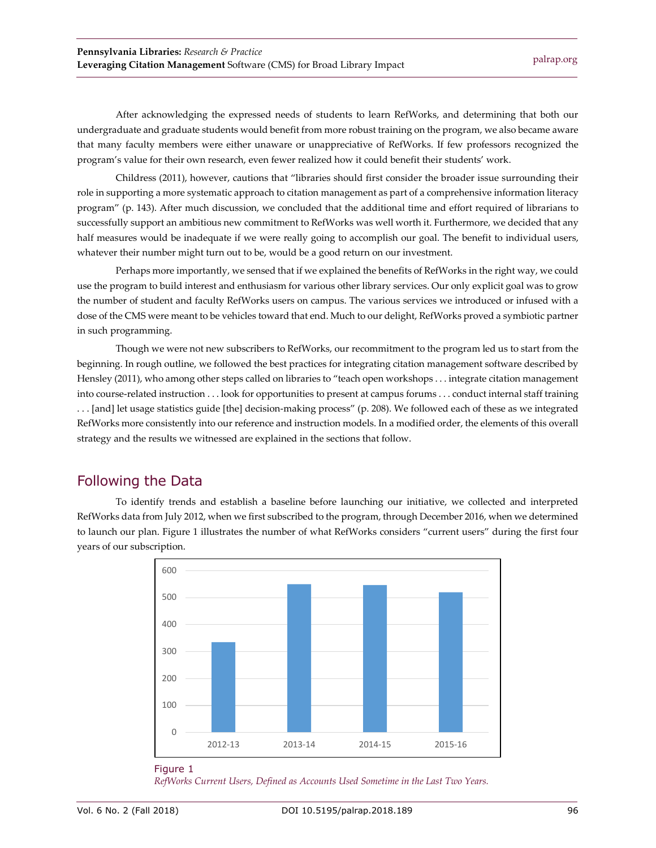After acknowledging the expressed needs of students to learn RefWorks, and determining that both our undergraduate and graduate students would benefit from more robust training on the program, we also became aware that many faculty members were either unaware or unappreciative of RefWorks. If few professors recognized the program's value for their own research, even fewer realized how it could benefit their students' work.

Childress (2011), however, cautions that "libraries should first consider the broader issue surrounding their role in supporting a more systematic approach to citation management as part of a comprehensive information literacy program" (p. 143). After much discussion, we concluded that the additional time and effort required of librarians to successfully support an ambitious new commitment to RefWorks was well worth it. Furthermore, we decided that any half measures would be inadequate if we were really going to accomplish our goal. The benefit to individual users, whatever their number might turn out to be, would be a good return on our investment.

Perhaps more importantly, we sensed that if we explained the benefits of RefWorks in the right way, we could use the program to build interest and enthusiasm for various other library services. Our only explicit goal was to grow the number of student and faculty RefWorks users on campus. The various services we introduced or infused with a dose of the CMS were meant to be vehicles toward that end. Much to our delight, RefWorks proved a symbiotic partner in such programming.

Though we were not new subscribers to RefWorks, our recommitment to the program led us to start from the beginning. In rough outline, we followed the best practices for integrating citation management software described by Hensley (2011), who among other steps called on libraries to "teach open workshops . . . integrate citation management into course-related instruction . . . look for opportunities to present at campus forums . . . conduct internal staff training . . . [and] let usage statistics guide [the] decision-making process" (p. 208). We followed each of these as we integrated RefWorks more consistently into our reference and instruction models. In a modified order, the elements of this overall strategy and the results we witnessed are explained in the sections that follow.

## Following the Data

To identify trends and establish a baseline before launching our initiative, we collected and interpreted RefWorks data from July 2012, when we first subscribed to the program, through December 2016, when we determined to launch our plan. Figure 1 illustrates the number of what RefWorks considers "current users" during the first four years of our subscription.



#### Figure 1

*RefWorks Current Users, Defined as Accounts Used Sometime in the Last Two Years.*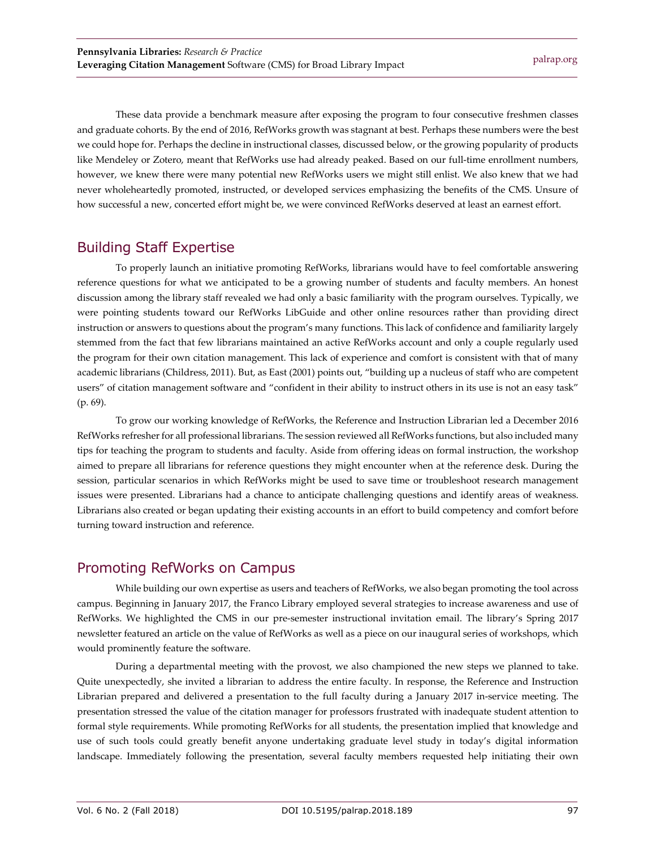These data provide a benchmark measure after exposing the program to four consecutive freshmen classes and graduate cohorts. By the end of 2016, RefWorks growth was stagnant at best. Perhaps these numbers were the best we could hope for. Perhaps the decline in instructional classes, discussed below, or the growing popularity of products like Mendeley or Zotero, meant that RefWorks use had already peaked. Based on our full-time enrollment numbers, however, we knew there were many potential new RefWorks users we might still enlist. We also knew that we had never wholeheartedly promoted, instructed, or developed services emphasizing the benefits of the CMS. Unsure of how successful a new, concerted effort might be, we were convinced RefWorks deserved at least an earnest effort.

## Building Staff Expertise

To properly launch an initiative promoting RefWorks, librarians would have to feel comfortable answering reference questions for what we anticipated to be a growing number of students and faculty members. An honest discussion among the library staff revealed we had only a basic familiarity with the program ourselves. Typically, we were pointing students toward our RefWorks LibGuide and other online resources rather than providing direct instruction or answers to questions about the program's many functions. This lack of confidence and familiarity largely stemmed from the fact that few librarians maintained an active RefWorks account and only a couple regularly used the program for their own citation management. This lack of experience and comfort is consistent with that of many academic librarians (Childress, 2011). But, as East (2001) points out, "building up a nucleus of staff who are competent users" of citation management software and "confident in their ability to instruct others in its use is not an easy task" (p. 69).

To grow our working knowledge of RefWorks, the Reference and Instruction Librarian led a December 2016 RefWorks refresher for all professional librarians. The session reviewed all RefWorks functions, but also included many tips for teaching the program to students and faculty. Aside from offering ideas on formal instruction, the workshop aimed to prepare all librarians for reference questions they might encounter when at the reference desk. During the session, particular scenarios in which RefWorks might be used to save time or troubleshoot research management issues were presented. Librarians had a chance to anticipate challenging questions and identify areas of weakness. Librarians also created or began updating their existing accounts in an effort to build competency and comfort before turning toward instruction and reference.

## Promoting RefWorks on Campus

While building our own expertise as users and teachers of RefWorks, we also began promoting the tool across campus. Beginning in January 2017, the Franco Library employed several strategies to increase awareness and use of RefWorks. We highlighted the CMS in our pre-semester instructional invitation email. The library's Spring 2017 newsletter featured an article on the value of RefWorks as well as a piece on our inaugural series of workshops, which would prominently feature the software.

During a departmental meeting with the provost, we also championed the new steps we planned to take. Quite unexpectedly, she invited a librarian to address the entire faculty. In response, the Reference and Instruction Librarian prepared and delivered a presentation to the full faculty during a January 2017 in-service meeting. The presentation stressed the value of the citation manager for professors frustrated with inadequate student attention to formal style requirements. While promoting RefWorks for all students, the presentation implied that knowledge and use of such tools could greatly benefit anyone undertaking graduate level study in today's digital information landscape. Immediately following the presentation, several faculty members requested help initiating their own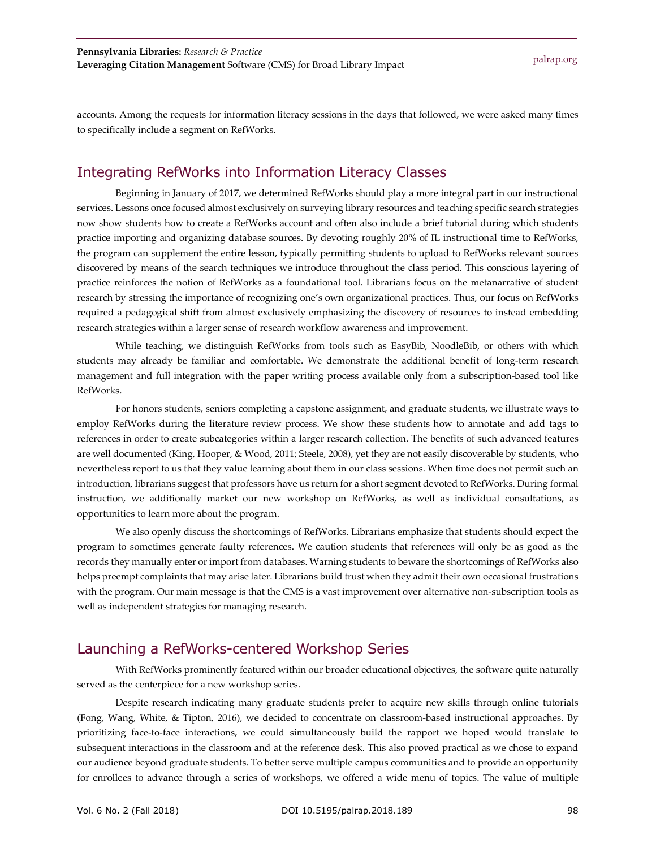accounts. Among the requests for information literacy sessions in the days that followed, we were asked many times to specifically include a segment on RefWorks.

#### Integrating RefWorks into Information Literacy Classes

Beginning in January of 2017, we determined RefWorks should play a more integral part in our instructional services. Lessons once focused almost exclusively on surveying library resources and teaching specific search strategies now show students how to create a RefWorks account and often also include a brief tutorial during which students practice importing and organizing database sources. By devoting roughly 20% of IL instructional time to RefWorks, the program can supplement the entire lesson, typically permitting students to upload to RefWorks relevant sources discovered by means of the search techniques we introduce throughout the class period. This conscious layering of practice reinforces the notion of RefWorks as a foundational tool. Librarians focus on the metanarrative of student research by stressing the importance of recognizing one's own organizational practices. Thus, our focus on RefWorks required a pedagogical shift from almost exclusively emphasizing the discovery of resources to instead embedding research strategies within a larger sense of research workflow awareness and improvement.

While teaching, we distinguish RefWorks from tools such as EasyBib, NoodleBib, or others with which students may already be familiar and comfortable. We demonstrate the additional benefit of long-term research management and full integration with the paper writing process available only from a subscription-based tool like RefWorks.

For honors students, seniors completing a capstone assignment, and graduate students, we illustrate ways to employ RefWorks during the literature review process. We show these students how to annotate and add tags to references in order to create subcategories within a larger research collection. The benefits of such advanced features are well documented (King, Hooper, & Wood, 2011; Steele, 2008), yet they are not easily discoverable by students, who nevertheless report to us that they value learning about them in our class sessions. When time does not permit such an introduction, librarians suggest that professors have us return for a short segment devoted to RefWorks. During formal instruction, we additionally market our new workshop on RefWorks, as well as individual consultations, as opportunities to learn more about the program.

We also openly discuss the shortcomings of RefWorks. Librarians emphasize that students should expect the program to sometimes generate faulty references. We caution students that references will only be as good as the records they manually enter or import from databases. Warning students to beware the shortcomings of RefWorks also helps preempt complaints that may arise later. Librarians build trust when they admit their own occasional frustrations with the program. Our main message is that the CMS is a vast improvement over alternative non-subscription tools as well as independent strategies for managing research.

## Launching a RefWorks-centered Workshop Series

With RefWorks prominently featured within our broader educational objectives, the software quite naturally served as the centerpiece for a new workshop series.

Despite research indicating many graduate students prefer to acquire new skills through online tutorials (Fong, Wang, White, & Tipton, 2016), we decided to concentrate on classroom-based instructional approaches. By prioritizing face-to-face interactions, we could simultaneously build the rapport we hoped would translate to subsequent interactions in the classroom and at the reference desk. This also proved practical as we chose to expand our audience beyond graduate students. To better serve multiple campus communities and to provide an opportunity for enrollees to advance through a series of workshops, we offered a wide menu of topics. The value of multiple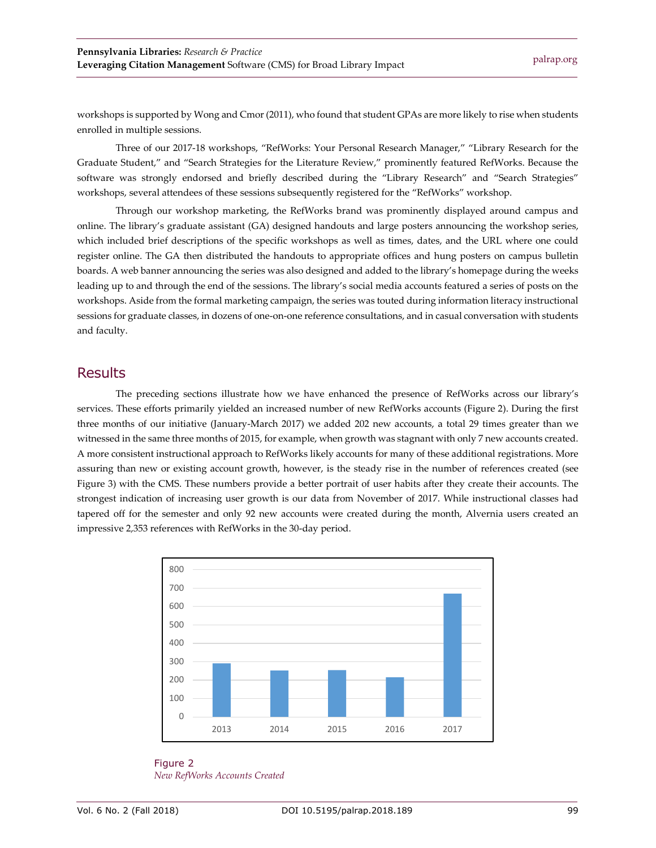workshops is supported by Wong and Cmor (2011), who found that student GPAs are more likely to rise when students enrolled in multiple sessions.

Three of our 2017-18 workshops, "RefWorks: Your Personal Research Manager," "Library Research for the Graduate Student," and "Search Strategies for the Literature Review," prominently featured RefWorks. Because the software was strongly endorsed and briefly described during the "Library Research" and "Search Strategies" workshops, several attendees of these sessions subsequently registered for the "RefWorks" workshop.

Through our workshop marketing, the RefWorks brand was prominently displayed around campus and online. The library's graduate assistant (GA) designed handouts and large posters announcing the workshop series, which included brief descriptions of the specific workshops as well as times, dates, and the URL where one could register online. The GA then distributed the handouts to appropriate offices and hung posters on campus bulletin boards. A web banner announcing the series was also designed and added to the library's homepage during the weeks leading up to and through the end of the sessions. The library's social media accounts featured a series of posts on the workshops. Aside from the formal marketing campaign, the series was touted during information literacy instructional sessions for graduate classes, in dozens of one-on-one reference consultations, and in casual conversation with students and faculty.

#### **Results**

The preceding sections illustrate how we have enhanced the presence of RefWorks across our library's services. These efforts primarily yielded an increased number of new RefWorks accounts (Figure 2). During the first three months of our initiative (January-March 2017) we added 202 new accounts, a total 29 times greater than we witnessed in the same three months of 2015, for example, when growth was stagnant with only 7 new accounts created. A more consistent instructional approach to RefWorks likely accounts for many of these additional registrations. More assuring than new or existing account growth, however, is the steady rise in the number of references created (see Figure 3) with the CMS. These numbers provide a better portrait of user habits after they create their accounts. The strongest indication of increasing user growth is our data from November of 2017. While instructional classes had tapered off for the semester and only 92 new accounts were created during the month, Alvernia users created an impressive 2,353 references with RefWorks in the 30-day period.



Figure 2 *New RefWorks Accounts Created*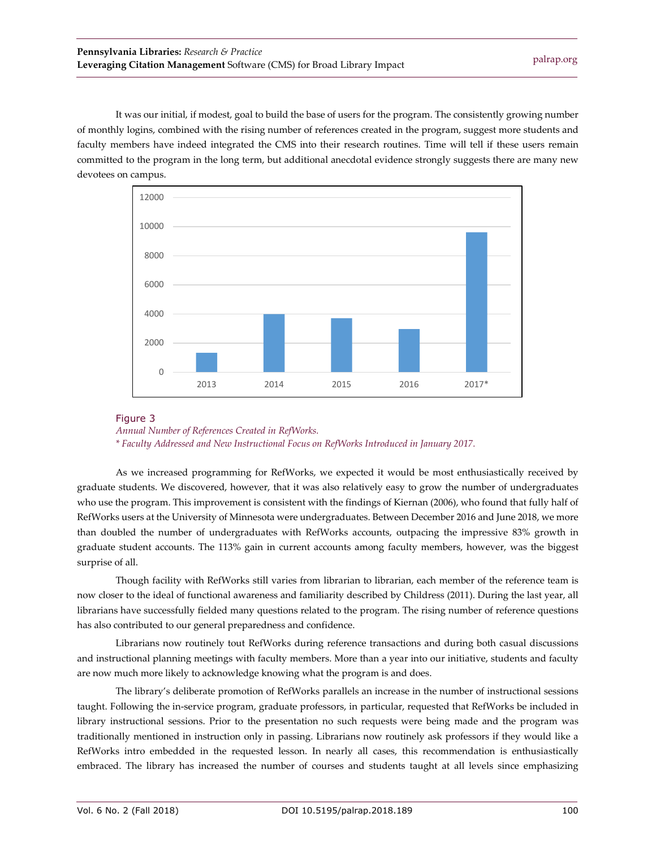It was our initial, if modest, goal to build the base of users for the program. The consistently growing number of monthly logins, combined with the rising number of references created in the program, suggest more students and faculty members have indeed integrated the CMS into their research routines. Time will tell if these users remain committed to the program in the long term, but additional anecdotal evidence strongly suggests there are many new devotees on campus.



#### Figure 3

*Annual Number of References Created in RefWorks.* 

*\* Faculty Addressed and New Instructional Focus on RefWorks Introduced in January 2017.*

As we increased programming for RefWorks, we expected it would be most enthusiastically received by graduate students. We discovered, however, that it was also relatively easy to grow the number of undergraduates who use the program. This improvement is consistent with the findings of Kiernan (2006), who found that fully half of RefWorks users at the University of Minnesota were undergraduates. Between December 2016 and June 2018, we more than doubled the number of undergraduates with RefWorks accounts, outpacing the impressive 83% growth in graduate student accounts. The 113% gain in current accounts among faculty members, however, was the biggest surprise of all.

Though facility with RefWorks still varies from librarian to librarian, each member of the reference team is now closer to the ideal of functional awareness and familiarity described by Childress (2011). During the last year, all librarians have successfully fielded many questions related to the program. The rising number of reference questions has also contributed to our general preparedness and confidence.

Librarians now routinely tout RefWorks during reference transactions and during both casual discussions and instructional planning meetings with faculty members. More than a year into our initiative, students and faculty are now much more likely to acknowledge knowing what the program is and does.

The library's deliberate promotion of RefWorks parallels an increase in the number of instructional sessions taught. Following the in-service program, graduate professors, in particular, requested that RefWorks be included in library instructional sessions. Prior to the presentation no such requests were being made and the program was traditionally mentioned in instruction only in passing. Librarians now routinely ask professors if they would like a RefWorks intro embedded in the requested lesson. In nearly all cases, this recommendation is enthusiastically embraced. The library has increased the number of courses and students taught at all levels since emphasizing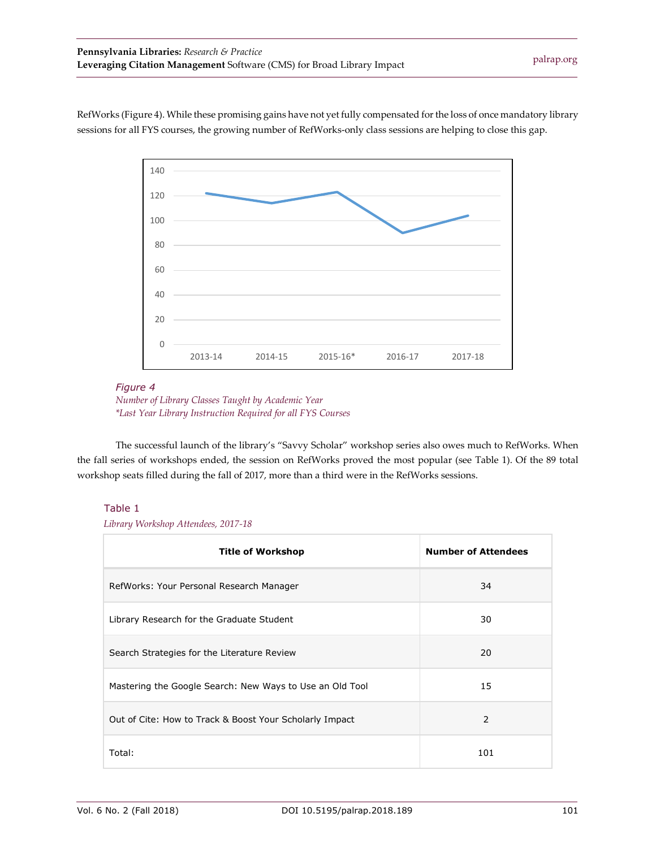RefWorks (Figure 4). While these promising gains have not yet fully compensated for the loss of once mandatory library sessions for all FYS courses, the growing number of RefWorks-only class sessions are helping to close this gap.



#### *Figure 4*



The successful launch of the library's "Savvy Scholar" workshop series also owes much to RefWorks. When the fall series of workshops ended, the session on RefWorks proved the most popular (see Table 1). Of the 89 total workshop seats filled during the fall of 2017, more than a third were in the RefWorks sessions.

#### Table 1

 *Library Workshop Attendees, 2017-18*

| <b>Title of Workshop</b>                                 | <b>Number of Attendees</b> |
|----------------------------------------------------------|----------------------------|
| RefWorks: Your Personal Research Manager                 | 34                         |
| Library Research for the Graduate Student                | 30                         |
| Search Strategies for the Literature Review              | 20                         |
| Mastering the Google Search: New Ways to Use an Old Tool | 15                         |
| Out of Cite: How to Track & Boost Your Scholarly Impact  | 2                          |
| Total:                                                   | 101                        |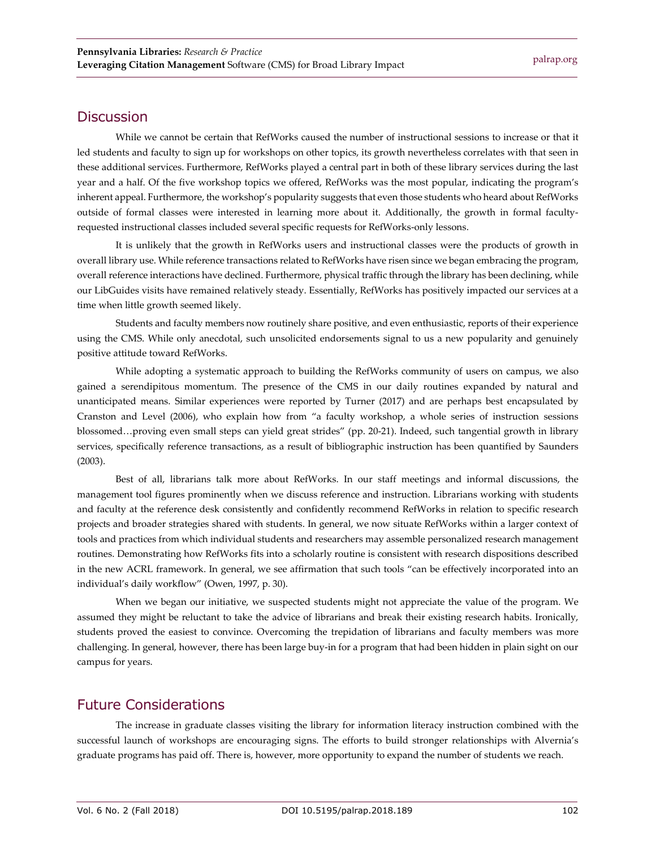#### **Discussion**

While we cannot be certain that RefWorks caused the number of instructional sessions to increase or that it led students and faculty to sign up for workshops on other topics, its growth nevertheless correlates with that seen in these additional services. Furthermore, RefWorks played a central part in both of these library services during the last year and a half. Of the five workshop topics we offered, RefWorks was the most popular, indicating the program's inherent appeal. Furthermore, the workshop's popularity suggests that even those students who heard about RefWorks outside of formal classes were interested in learning more about it. Additionally, the growth in formal facultyrequested instructional classes included several specific requests for RefWorks-only lessons.

It is unlikely that the growth in RefWorks users and instructional classes were the products of growth in overall library use. While reference transactions related to RefWorks have risen since we began embracing the program, overall reference interactions have declined. Furthermore, physical traffic through the library has been declining, while our LibGuides visits have remained relatively steady. Essentially, RefWorks has positively impacted our services at a time when little growth seemed likely.

Students and faculty members now routinely share positive, and even enthusiastic, reports of their experience using the CMS. While only anecdotal, such unsolicited endorsements signal to us a new popularity and genuinely positive attitude toward RefWorks.

While adopting a systematic approach to building the RefWorks community of users on campus, we also gained a serendipitous momentum. The presence of the CMS in our daily routines expanded by natural and unanticipated means. Similar experiences were reported by Turner (2017) and are perhaps best encapsulated by Cranston and Level (2006), who explain how from "a faculty workshop, a whole series of instruction sessions blossomed…proving even small steps can yield great strides" (pp. 20-21). Indeed, such tangential growth in library services, specifically reference transactions, as a result of bibliographic instruction has been quantified by Saunders (2003).

Best of all, librarians talk more about RefWorks. In our staff meetings and informal discussions, the management tool figures prominently when we discuss reference and instruction. Librarians working with students and faculty at the reference desk consistently and confidently recommend RefWorks in relation to specific research projects and broader strategies shared with students. In general, we now situate RefWorks within a larger context of tools and practices from which individual students and researchers may assemble personalized research management routines. Demonstrating how RefWorks fits into a scholarly routine is consistent with research dispositions described in the new ACRL framework. In general, we see affirmation that such tools "can be effectively incorporated into an individual's daily workflow" (Owen, 1997, p. 30).

When we began our initiative, we suspected students might not appreciate the value of the program. We assumed they might be reluctant to take the advice of librarians and break their existing research habits. Ironically, students proved the easiest to convince. Overcoming the trepidation of librarians and faculty members was more challenging. In general, however, there has been large buy-in for a program that had been hidden in plain sight on our campus for years.

#### Future Considerations

The increase in graduate classes visiting the library for information literacy instruction combined with the successful launch of workshops are encouraging signs. The efforts to build stronger relationships with Alvernia's graduate programs has paid off. There is, however, more opportunity to expand the number of students we reach.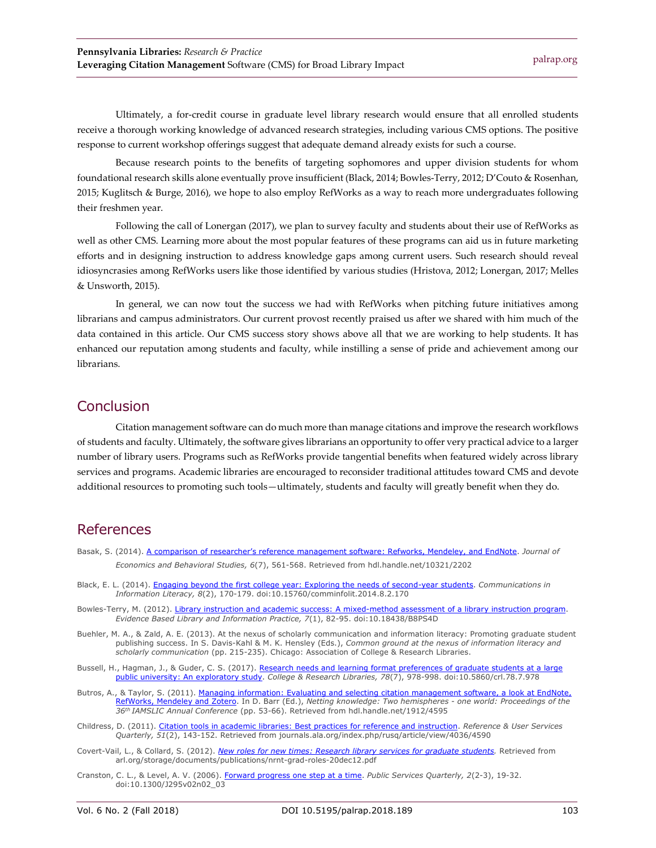Ultimately, a for-credit course in graduate level library research would ensure that all enrolled students receive a thorough working knowledge of advanced research strategies, including various CMS options. The positive response to current workshop offerings suggest that adequate demand already exists for such a course.

Because research points to the benefits of targeting sophomores and upper division students for whom foundational research skills alone eventually prove insufficient (Black, 2014; Bowles-Terry, 2012; D'Couto & Rosenhan, 2015; Kuglitsch & Burge, 2016), we hope to also employ RefWorks as a way to reach more undergraduates following their freshmen year.

Following the call of Lonergan (2017), we plan to survey faculty and students about their use of RefWorks as well as other CMS. Learning more about the most popular features of these programs can aid us in future marketing efforts and in designing instruction to address knowledge gaps among current users. Such research should reveal idiosyncrasies among RefWorks users like those identified by various studies (Hristova, 2012; Lonergan, 2017; Melles & Unsworth, 2015).

In general, we can now tout the success we had with RefWorks when pitching future initiatives among librarians and campus administrators. Our current provost recently praised us after we shared with him much of the data contained in this article. Our CMS success story shows above all that we are working to help students. It has enhanced our reputation among students and faculty, while instilling a sense of pride and achievement among our librarians.

#### Conclusion

Citation management software can do much more than manage citations and improve the research workflows of students and faculty. Ultimately, the software gives librarians an opportunity to offer very practical advice to a larger number of library users. Programs such as RefWorks provide tangential benefits when featured widely across library services and programs. Academic libraries are encouraged to reconsider traditional attitudes toward CMS and devote additional resources to promoting such tools—ultimately, students and faculty will greatly benefit when they do.

## References

- Basak, S. (2014). [A comparison of researcher's reference management software: Refworks,](http://hdl.handle.net/10321/2202) Mendeley, and EndNote. *Journal of Economics and Behavioral Studies, 6*(7), 561-568. Retrieved from hdl.handle.net/10321/2202
- Black, E. L. (2014). [Engaging beyond the first college year: Exploring the needs of second-year](http://dx.doi.org/10.15760/comminfolit.2014.8.2.170) students. *Communications in Information Literacy, 8*(2), 170-179. doi:10.15760/comminfolit.2014.8.2.170
- Bowles-Terry, M. (2012). [Library instruction and academic success: A mixed-method](http://dx.doi.org/10.18438/B8PS4D) assessment of a library instruction program. *Evidence Based Library and Information Practice, 7*(1), 82-95. doi:10.18438/B8PS4D
- Buehler, M. A., & Zald, A. E. (2013). At the nexus of scholarly communication and information literacy: Promoting graduate student publishing success. In S. Davis-Kahl & M. K. Hensley (Eds.), *Common ground at the nexus of information literacy and scholarly communication* (pp. 215-235). Chicago: Association of College & Research Libraries.
- Bussell, H., Hagman, J., & Guder, C. S. (2017). [Research needs and learning format preferences](http://dx.doi.org/10.5860/crl.78.7.978) of graduate students at a large [public university: An exploratory study.](http://dx.doi.org/10.5860/crl.78.7.978) *College & Research Libraries, 78*(7), 978-998. doi:10.5860/crl.78.7.978
- Butros, A., & Taylor, S. (2011)[. Managing information: Evaluating and selecting citation](https://hdl.handle.net/1912/4595) management software, a look at EndNote, [RefWorks, Mendeley and Zotero.](https://hdl.handle.net/1912/4595) In D. Barr (Ed.), *Netting knowledge: Two hemispheres - one world: Proceedings of the 36th IAMSLIC Annual Conference* (pp. 53-66). Retrieved from hdl.handle.net/1912/4595
- Childress, D. (2011). [Citation tools in academic libraries: Best practices for reference and](https://journals.ala.org/index.php/rusq/article/view/4036/4590) instruction. *Reference & User Services Quarterly, 51*(2), 143-152. Retrieved from journals.ala.org/index.php/rusq/article/view/4036/4590
- Covert-Vail, L., & Collard, S. (2012). *[New roles for new times: Research library services for](http://www.arl.org/storage/documents/publications/nrnt-grad-roles-20dec12.pdf) graduate students.* Retrieved from arl.org/storage/documents/publications/nrnt-grad-roles-20dec12.pdf
- Cranston, C. L., & Level, A. V. (2006)[. Forward progress one step at a time.](http://dx.doi.org/10.1300/J295v02n02_03) *Public Services Quarterly, 2*(2-3), 19-32. doi:10.1300/J295v02n02\_03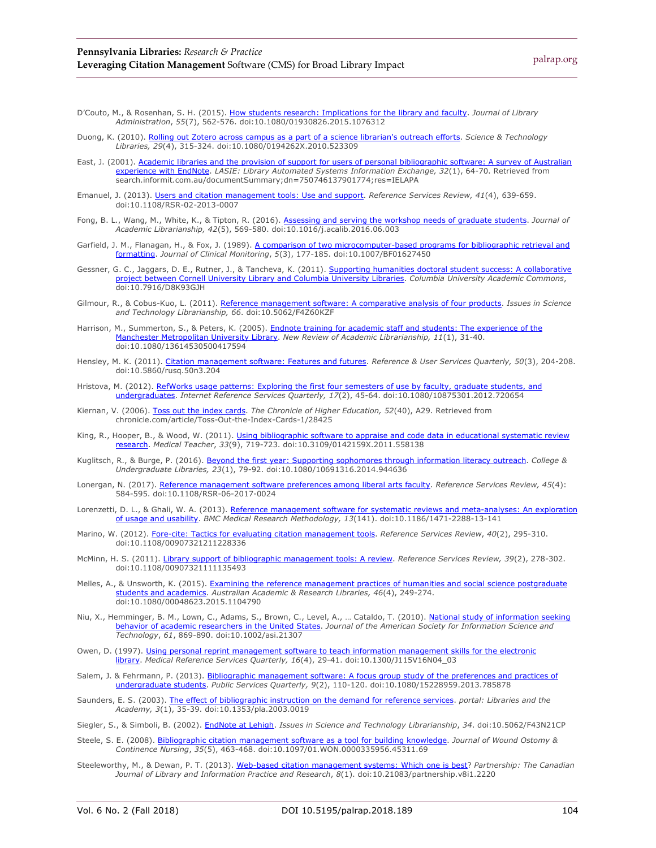- D'Couto, M., & Rosenhan, S. H. (2015). [How students research: Implications for the library and](http://dx.doi.org/10.1080/01930826.2015.1076312) faculty. *Journal of Library Administration*, *55*(7), 562-576. doi:10.1080/01930826.2015.1076312
- Duong, K. (2010). [Rolling out Zotero across campus as a part of a science librarian's outreach](http://dx.doi.org/10.1080/0194262X.2010.523309) efforts. *Science & Technology Libraries, 29*(4), 315-324. doi:10.1080/0194262X.2010.523309
- East, J. (2001). [Academic libraries and the provision of support for users of personal](https://search.informit.com.au/documentSummary;dn=750746137901774;res=IELAPA) bibliographic software: A survey of Australian [experience with EndNote.](https://search.informit.com.au/documentSummary;dn=750746137901774;res=IELAPA) *LASIE: Library Automated Systems Information Exchange, 32*(1), 64-70. Retrieved from search.informit.com.au/documentSummary;dn=750746137901774;res=IELAPA
- Emanuel, J. (2013). [Users and citation management tools: Use and support.](http://dx.doi.org/10.1108/RSR-02-2013-0007) *Reference Services Review, 41*(4), 639-659. doi:10.1108/RSR-02-2013-0007
- Fong, B. L., Wang, M., White, K., & Tipton, R. (2016). [Assessing and serving the workshop](http://dx.doi.org/10.1016/j.acalib.2016.06.003) needs of graduate students. *Journal of Academic Librarianship, 42*(5), 569-580. doi:10.1016/j.acalib.2016.06.003
- Garfield, J. M., Flanagan, H., & Fox, J. (1989). [A comparison of two microcomputer-based](http://dx.doi.org/10.1007/BF01627450) programs for bibliographic retrieval and [formatting.](http://dx.doi.org/10.1007/BF01627450) *Journal of Clinical Monitoring*, *5*(3), 177-185. doi:10.1007/BF01627450
- Gessner, G. C., Jaggars, D. E., Rutner, J., & Tancheva, K. (2011). Supporting humanities doctoral student success: A collaborative [project between Cornell University Library and Columbia](http://dx.doi.org/10.7916/D8K93GJH) University Libraries. *Columbia University Academic Commons*, doi:10.7916/D8K93GJH
- Gilmour, R., & Cobus-Kuo, L. (2011). [Reference management software: A comparative analysis](http://dx.doi.org/10.5062/F4Z60KZF) of four products. *Issues in Science and Technology Librarianship, 66*. doi:10.5062/F4Z60KZF
- Harrison, M., Summerton, S., & Peters, K. (2005). [Endnote training for academic staff and](http://dx.doi.org/10.1080/13614530500417594) students: The experience of the [Manchester Metropolitan University Library.](http://dx.doi.org/10.1080/13614530500417594) *New Review of Academic Librarianship, 11*(1), 31-40. doi:10.1080/13614530500417594
- Hensley, M. K. (2011)[. Citation management software: Features and futures.](http://dx.doi.org/10.5860/rusq.50n3.204) *Reference & User Services Quarterly, 50*(3), 204-208. doi:10.5860/rusq.50n3.204
- Hristova, M. (2012). [RefWorks usage patterns: Exploring the first four semesters of use by](http://dx.doi.org/10.1080/10875301.2012.720654) faculty, graduate students, and [undergraduates.](http://dx.doi.org/10.1080/10875301.2012.720654) *Internet Reference Services Quarterly, 17*(2), 45-64. doi:10.1080/10875301.2012.720654
- Kiernan, V. (2006). [Toss out the index cards.](http://chronicle.com/article/Toss-Out-the-Index-Cards-1/28425) *The Chronicle of Higher Education, 52*(40), A29. Retrieved from chronicle.com/article/Toss-Out-the-Index-Cards-1/28425
- King, R., Hooper, B., & Wood, W. (2011). [Using bibliographic software to appraise and code](http://dx.doi.org/10.3109/0142159X.2011.558138) data in educational systematic review [research.](http://dx.doi.org/10.3109/0142159X.2011.558138) *Medical Teacher*, *33*(9), 719-723. doi:10.3109/0142159X.2011.558138
- Kuglitsch, R., & Burge, P. (2016). [Beyond the first year: Supporting sophomores through](http://dx.doi.org/10.1080/10691316.2014.944636) information literacy outreach. *College & Undergraduate Libraries, 23*(1), 79-92. doi:10.1080/10691316.2014.944636
- Lonergan, N. (2017). [Reference management software preferences among liberal arts faculty.](http://dx.doi.org/10.1108/RSR-06-2017-0024) *Reference Services Review, 45*(4): 584-595. doi:10.1108/RSR-06-2017-0024
- Lorenzetti, D. L., & Ghali, W. A. (2013). [Reference management software for systematic](http://dx.doi.org/10.1186/1471-2288-13-141) reviews and meta-analyses: An exploration [of usage and usability.](http://dx.doi.org/10.1186/1471-2288-13-141) *BMC Medical Research Methodology, 13*(141). doi:10.1186/1471-2288-13-141
- Marino, W. (2012). [Fore-cite: Tactics for evaluating citation management tools.](http://dx.doi.org/10.1108/00907321211228336) *Reference Services Review*, *40*(2), 295-310. doi:10.1108/00907321211228336
- McMinn, H. S. (2011). [Library support of bibliographic management tools: A review.](http://dx.doi.org/10.1108/00907321111135493) *Reference Services Review, 39*(2), 278-302. doi:10.1108/00907321111135493
- Melles, A., & Unsworth, K. (2015). [Examining the reference management practices of](http://dx.doi.org/10.1080/00048623.2015.1104790) humanities and social science postgraduate [students and academics.](http://dx.doi.org/10.1080/00048623.2015.1104790) *Australian Academic & Research Libraries, 46*(4), 249-274. doi:10.1080/00048623.2015.1104790
- Niu, X., Hemminger, B. M., Lown, C., Adams, S., Brown, C., Level, A., … Cataldo, T. (2010). <u>National study of information seeking</u> behavior of [academic researchers in the United](http://dx.doi.org/10.1002/asi.21307) States. *Journal of the American Society for Information Science and Technology*, *61*, 869-890. doi:10.1002/asi.21307
- Owen, D. (1997). [Using personal reprint management software to teach information management](http://dx.doi.org/10.1300/J115V16N04_03) skills for the electronic [library.](http://dx.doi.org/10.1300/J115V16N04_03) *Medical Reference Services Quarterly, 16*(4), 29-41. doi:10.1300/J115V16N04\_03
- Salem, J. & Fehrmann, P. (2013). [Bibliographic management software: A focus group study of](http://dx.doi.org/10.1080/15228959.2013.785878) the preferences and practices of [undergraduate students.](http://dx.doi.org/10.1080/15228959.2013.785878) *Public Services Quarterly, 9*(2), 110-120. doi:10.1080/15228959.2013.785878
- Saunders, E. S. (2003). [The effect of bibliographic instruction on the demand for reference](http://dx.doi.org/10.1353/pla.2003.0019) services. *portal: Libraries and the Academy, 3*(1), 35-39. doi:10.1353/pla.2003.0019
- Siegler, S., & Simboli, B. (2002). [EndNote at Lehigh.](http://dx.doi.org/10.5062/F43N21CP) *Issues in Science and Technology Librarianship*, *34*. doi:10.5062/F43N21CP
- Steele, S. E. (2008). [Bibliographic citation management software as a tool for building](http://dx.doi.org/10.1097/01.WON.0000335956.45311.69) knowledge. *Journal of Wound Ostomy & Continence Nursing*, *35*(5), 463-468. doi:10.1097/01.WON.0000335956.45311.69
- Steeleworthy, M., & Dewan, P. T. (2013). [Web-based citation management systems:](http://dx.doi.org/10.21083/partnership.v8i1.2220) Which one is best? *Partnership: The Canadian Journal of Library and Information Practice and Research*, *8*(1). doi:10.21083/partnership.v8i1.2220